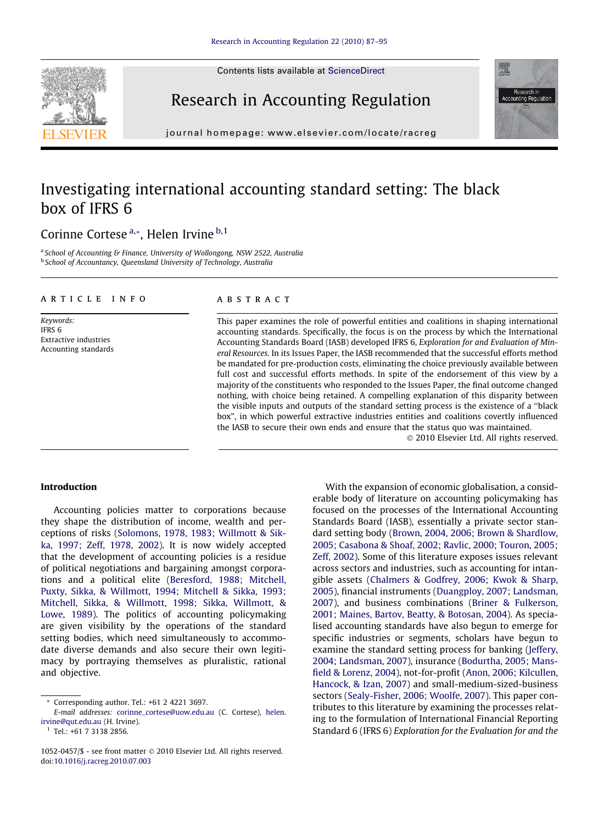Contents lists available at [ScienceDirect](http://www.sciencedirect.com/science/journal/10520457)





Research in Accounting Regulation

journal homepage: [www.elsevier.com/locate/racreg](http://www.elsevier.com/locate/racreg)

# Investigating international accounting standard setting: The black box of IFRS 6

Corinne Cortese<sup>a,\*</sup>, Helen Irvine <sup>b,1</sup>

<sup>a</sup> School of Accounting & Finance, University of Wollongong, NSW 2522, Australia **b School of Accountancy, Queensland University of Technology, Australia** 

#### article info

Keywords: IFRS 6 Extractive industries Accounting standards

## ABSTRACT

This paper examines the role of powerful entities and coalitions in shaping international accounting standards. Specifically, the focus is on the process by which the International Accounting Standards Board (IASB) developed IFRS 6, Exploration for and Evaluation of Mineral Resources. In its Issues Paper, the IASB recommended that the successful efforts method be mandated for pre-production costs, eliminating the choice previously available between full cost and successful efforts methods. In spite of the endorsement of this view by a majority of the constituents who responded to the Issues Paper, the final outcome changed nothing, with choice being retained. A compelling explanation of this disparity between the visible inputs and outputs of the standard setting process is the existence of a ''black box", in which powerful extractive industries entities and coalitions covertly influenced the IASB to secure their own ends and ensure that the status quo was maintained.

- 2010 Elsevier Ltd. All rights reserved.

#### Introduction

Accounting policies matter to corporations because they shape the distribution of income, wealth and perceptions of risks [\(Solomons, 1978, 1983; Willmott & Sik](#page--1-0)[ka, 1997; Zeff, 1978, 2002](#page--1-0)). It is now widely accepted that the development of accounting policies is a residue of political negotiations and bargaining amongst corporations and a political elite [\(Beresford, 1988; Mitchell,](#page--1-0) [Puxty, Sikka, & Willmott, 1994; Mitchell & Sikka, 1993;](#page--1-0) [Mitchell, Sikka, & Willmott, 1998; Sikka, Willmott, &](#page--1-0) [Lowe, 1989](#page--1-0)). The politics of accounting policymaking are given visibility by the operations of the standard setting bodies, which need simultaneously to accommodate diverse demands and also secure their own legitimacy by portraying themselves as pluralistic, rational and objective.

 $1$  Tel.: +61 7 3138 2856.

With the expansion of economic globalisation, a considerable body of literature on accounting policymaking has focused on the processes of the International Accounting Standards Board (IASB), essentially a private sector standard setting body ([Brown, 2004, 2006; Brown & Shardlow,](#page--1-0) [2005; Casabona & Shoaf, 2002; Ravlic, 2000; Touron, 2005;](#page--1-0) [Zeff, 2002\)](#page--1-0). Some of this literature exposes issues relevant across sectors and industries, such as accounting for intangible assets ([Chalmers & Godfrey, 2006; Kwok & Sharp,](#page--1-0) [2005\)](#page--1-0), financial instruments ([Duangploy, 2007; Landsman,](#page--1-0) [2007\)](#page--1-0), and business combinations ([Briner & Fulkerson,](#page--1-0) [2001; Maines, Bartov, Beatty, & Botosan, 2004](#page--1-0)). As specialised accounting standards have also begun to emerge for specific industries or segments, scholars have begun to examine the standard setting process for banking ([Jeffery,](#page--1-0) [2004; Landsman, 2007](#page--1-0)), insurance [\(Bodurtha, 2005; Mans](#page--1-0)[field & Lorenz, 2004\)](#page--1-0), not-for-profit [\(Anon, 2006; Kilcullen,](#page--1-0) [Hancock, & Izan, 2007\)](#page--1-0) and small-medium-sized-business sectors ([Sealy-Fisher, 2006; Woolfe, 2007\)](#page--1-0). This paper contributes to this literature by examining the processes relating to the formulation of International Financial Reporting Standard 6 (IFRS 6) Exploration for the Evaluation for and the

<sup>\*</sup> Corresponding author. Tel.: +61 2 4221 3697.

E-mail addresses: [corinne\\_cortese@uow.edu.au](mailto:corinne_cortese@uow.edu.au) (C. Cortese), [helen.](mailto:helen.irvine@qut.edu.au) [irvine@qut.edu.au](mailto:helen.irvine@qut.edu.au) (H. Irvine).

<sup>1052-0457/\$ -</sup> see front matter © 2010 Elsevier Ltd. All rights reserved. doi:[10.1016/j.racreg.2010.07.003](http://dx.doi.org/10.1016/j.racreg.2010.07.003)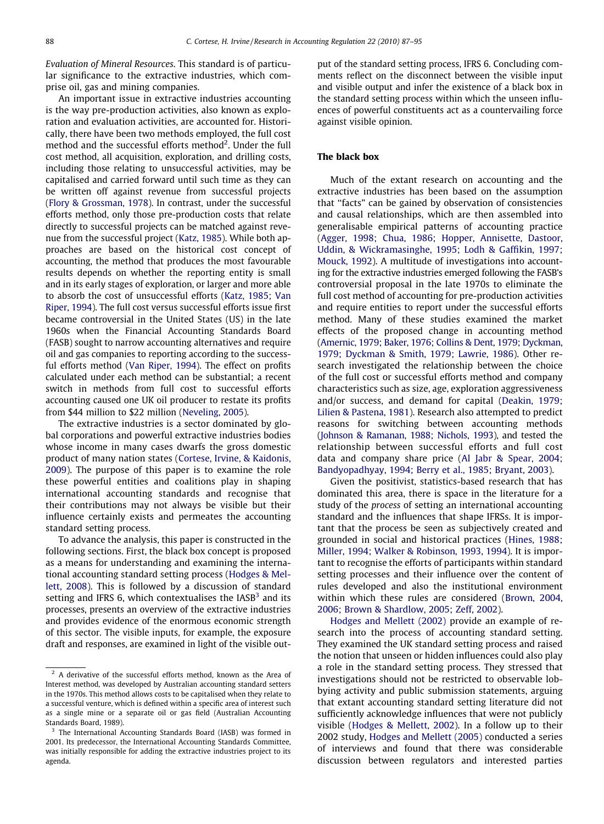Evaluation of Mineral Resources. This standard is of particular significance to the extractive industries, which comprise oil, gas and mining companies.

An important issue in extractive industries accounting is the way pre-production activities, also known as exploration and evaluation activities, are accounted for. Historically, there have been two methods employed, the full cost method and the successful efforts method<sup>2</sup>. Under the full cost method, all acquisition, exploration, and drilling costs, including those relating to unsuccessful activities, may be capitalised and carried forward until such time as they can be written off against revenue from successful projects [\(Flory & Grossman, 1978\)](#page--1-0). In contrast, under the successful efforts method, only those pre-production costs that relate directly to successful projects can be matched against revenue from the successful project [\(Katz, 1985](#page--1-0)). While both approaches are based on the historical cost concept of accounting, the method that produces the most favourable results depends on whether the reporting entity is small and in its early stages of exploration, or larger and more able to absorb the cost of unsuccessful efforts [\(Katz, 1985; Van](#page--1-0) [Riper, 1994\)](#page--1-0). The full cost versus successful efforts issue first became controversial in the United States (US) in the late 1960s when the Financial Accounting Standards Board (FASB) sought to narrow accounting alternatives and require oil and gas companies to reporting according to the successful efforts method [\(Van Riper, 1994\)](#page--1-0). The effect on profits calculated under each method can be substantial; a recent switch in methods from full cost to successful efforts accounting caused one UK oil producer to restate its profits from \$44 million to \$22 million ([Neveling, 2005\)](#page--1-0).

The extractive industries is a sector dominated by global corporations and powerful extractive industries bodies whose income in many cases dwarfs the gross domestic product of many nation states [\(Cortese, Irvine, & Kaidonis,](#page--1-0) [2009](#page--1-0)). The purpose of this paper is to examine the role these powerful entities and coalitions play in shaping international accounting standards and recognise that their contributions may not always be visible but their influence certainly exists and permeates the accounting standard setting process.

To advance the analysis, this paper is constructed in the following sections. First, the black box concept is proposed as a means for understanding and examining the international accounting standard setting process [\(Hodges & Mel](#page--1-0)[lett, 2008\)](#page--1-0). This is followed by a discussion of standard setting and IFRS 6, which contextualises the  $IASB<sup>3</sup>$  and its processes, presents an overview of the extractive industries and provides evidence of the enormous economic strength of this sector. The visible inputs, for example, the exposure draft and responses, are examined in light of the visible output of the standard setting process, IFRS 6. Concluding comments reflect on the disconnect between the visible input and visible output and infer the existence of a black box in the standard setting process within which the unseen influences of powerful constituents act as a countervailing force against visible opinion.

### The black box

Much of the extant research on accounting and the extractive industries has been based on the assumption that ''facts" can be gained by observation of consistencies and causal relationships, which are then assembled into generalisable empirical patterns of accounting practice [\(Agger, 1998; Chua, 1986; Hopper, Annisette, Dastoor,](#page--1-0) [Uddin, & Wickramasinghe, 1995; Lodh & Gaffikin, 1997;](#page--1-0) [Mouck, 1992\)](#page--1-0). A multitude of investigations into accounting for the extractive industries emerged following the FASB's controversial proposal in the late 1970s to eliminate the full cost method of accounting for pre-production activities and require entities to report under the successful efforts method. Many of these studies examined the market effects of the proposed change in accounting method [\(Amernic, 1979; Baker, 1976; Collins & Dent, 1979; Dyckman,](#page--1-0) [1979; Dyckman & Smith, 1979; Lawrie, 1986](#page--1-0)). Other research investigated the relationship between the choice of the full cost or successful efforts method and company characteristics such as size, age, exploration aggressiveness and/or success, and demand for capital ([Deakin, 1979;](#page--1-0) [Lilien & Pastena, 1981](#page--1-0)). Research also attempted to predict reasons for switching between accounting methods [\(Johnson & Ramanan, 1988; Nichols, 1993\)](#page--1-0), and tested the relationship between successful efforts and full cost data and company share price [\(Al Jabr & Spear, 2004;](#page--1-0) [Bandyopadhyay, 1994; Berry et al., 1985; Bryant, 2003\)](#page--1-0).

Given the positivist, statistics-based research that has dominated this area, there is space in the literature for a study of the process of setting an international accounting standard and the influences that shape IFRSs. It is important that the process be seen as subjectively created and grounded in social and historical practices ([Hines, 1988;](#page--1-0) [Miller, 1994; Walker & Robinson, 1993, 1994](#page--1-0)). It is important to recognise the efforts of participants within standard setting processes and their influence over the content of rules developed and also the institutional environment within which these rules are considered ([Brown, 2004,](#page--1-0) [2006; Brown & Shardlow, 2005; Zeff, 2002\)](#page--1-0).

[Hodges and Mellett \(2002\)](#page--1-0) provide an example of research into the process of accounting standard setting. They examined the UK standard setting process and raised the notion that unseen or hidden influences could also play a role in the standard setting process. They stressed that investigations should not be restricted to observable lobbying activity and public submission statements, arguing that extant accounting standard setting literature did not sufficiently acknowledge influences that were not publicly visible [\(Hodges & Mellett, 2002\)](#page--1-0). In a follow up to their 2002 study, [Hodges and Mellett \(2005\)](#page--1-0) conducted a series of interviews and found that there was considerable discussion between regulators and interested parties

<sup>&</sup>lt;sup>2</sup> A derivative of the successful efforts method, known as the Area of Interest method, was developed by Australian accounting standard setters in the 1970s. This method allows costs to be capitalised when they relate to a successful venture, which is defined within a specific area of interest such as a single mine or a separate oil or gas field (Australian Accounting Standards Board, 1989).

<sup>&</sup>lt;sup>3</sup> The International Accounting Standards Board (IASB) was formed in 2001. Its predecessor, the International Accounting Standards Committee, was initially responsible for adding the extractive industries project to its agenda.